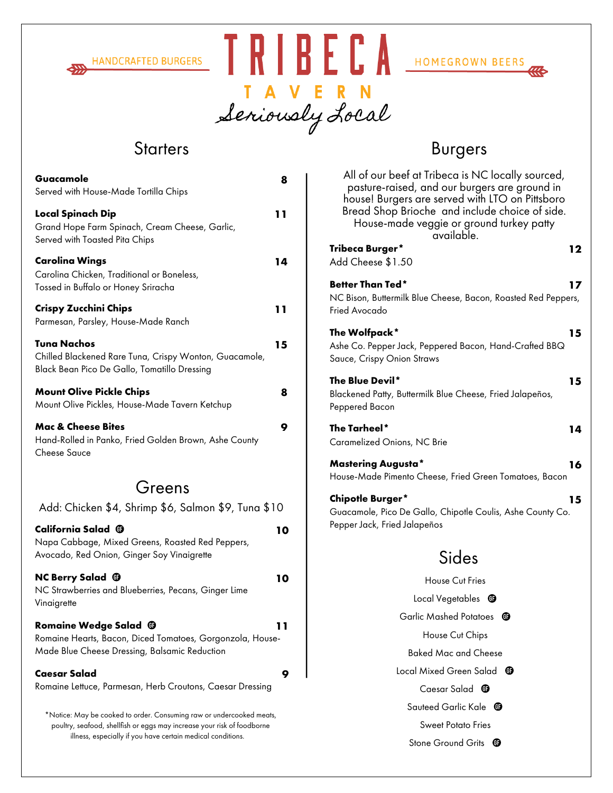





I A V E R N<br>Seriously Local

| Guacamole<br>Served with House-Made Tortilla Chips                                                                                              | 8  |
|-------------------------------------------------------------------------------------------------------------------------------------------------|----|
| <b>Local Spinach Dip</b><br>Grand Hope Farm Spinach, Cream Cheese, Garlic,<br>Served with Toasted Pita Chips                                    | 11 |
| <b>Carolina Wings</b><br>Carolina Chicken, Traditional or Boneless,<br>Tossed in Buffalo or Honey Sriracha                                      | 14 |
| <b>Crispy Zucchini Chips</b><br>Parmesan, Parsley, House-Made Ranch                                                                             | 11 |
| Tuna Nachos<br>Chilled Blackened Rare Tuna, Crispy Wonton, Guacamole,<br>Black Bean Pico De Gallo, Tomatillo Dressing                           | 15 |
| <b>Mount Olive Pickle Chips</b><br>Mount Olive Pickles, House-Made Tavern Ketchup                                                               | 8  |
| <b>Mac &amp; Cheese Bites</b><br>Hand-Rolled in Panko, Fried Golden Brown, Ashe County<br><b>Cheese Sauce</b>                                   | 9  |
| Greens                                                                                                                                          |    |
| Add: Chicken \$4, Shrimp \$6, Salmon \$9, Tuna \$10                                                                                             |    |
| California Salad <sup>@</sup><br>Napa Cabbage, Mixed Greens, Roasted Red Peppers,<br>Avocado, Red Onion, Ginger Soy Vinaigrette                 | 10 |
| <b>NC Berry Salad @</b><br>NC Strawberries and Blueberries, Pecans, Ginger Lime<br>Vinaigrette                                                  | 10 |
| Romaine Wedge Salad <sup>®</sup><br>Romaine Hearts, Bacon, Diced Tomatoes, Gorgonzola, House-<br>Made Blue Cheese Dressing, Balsamic Reduction  |    |
| Caesar Salad<br>Romaine Lettuce, Parmesan, Herb Croutons, Caesar Dressing                                                                       | 9  |
| *Notice: May be cooked to order. Consuming raw or undercooked meats,<br>poultry, seafood, shellfish or eggs may increase your risk of foodborne |    |

illness, especially if you have certain medical conditions.

Starters **Burgers** 

| All of our beef at Tribeca is NC locally sourced,<br>pasture-raised, and our burgers are ground in<br>house! Burgers are served with LTO on Pittsboro<br>Bread Shop Brioche and include choice of side.<br>House-made veggie or ground turkey patty<br>available. |  |
|-------------------------------------------------------------------------------------------------------------------------------------------------------------------------------------------------------------------------------------------------------------------|--|
| Tribeca Burger*<br>12<br>Add Cheese \$1.50                                                                                                                                                                                                                        |  |
| <b>Better Than Ted*</b><br>17<br>NC Bison, Buttermilk Blue Cheese, Bacon, Roasted Red Peppers,<br>Fried Avocado                                                                                                                                                   |  |
| The Wolfpack*<br>15<br>Ashe Co. Pepper Jack, Peppered Bacon, Hand-Crafted BBQ<br>Sauce, Crispy Onion Straws                                                                                                                                                       |  |
| The Blue Devil*<br>15<br>Blackened Patty, Buttermilk Blue Cheese, Fried Jalapeños,<br>Peppered Bacon                                                                                                                                                              |  |
| The Tarheel*<br>14<br>Caramelized Onions, NC Brie                                                                                                                                                                                                                 |  |
| <b>Mastering Augusta*</b><br>16<br>House-Made Pimento Cheese, Fried Green Tomatoes, Bacon                                                                                                                                                                         |  |
| <b>Chipotle Burger*</b><br>15<br>Guacamole, Pico De Gallo, Chipotle Coulis, Ashe County Co.<br>Pepper Jack, Fried Jalapeños                                                                                                                                       |  |
| Sides                                                                                                                                                                                                                                                             |  |
| <b>House Cut Fries</b>                                                                                                                                                                                                                                            |  |
| Local Vegetables<br>0                                                                                                                                                                                                                                             |  |
| <b>Garlic Mashed Potatoes</b><br>ω                                                                                                                                                                                                                                |  |
| House Cut Chips                                                                                                                                                                                                                                                   |  |
| Baked Mac and Cheese                                                                                                                                                                                                                                              |  |
| Local Mixed Green Salad<br>Œ                                                                                                                                                                                                                                      |  |
| Caesar Salad $\,\,\oplus\,\,$                                                                                                                                                                                                                                     |  |
| Sauteed Garlic Kale<br>Œ                                                                                                                                                                                                                                          |  |
| Sweet Potato Fries<br><b>Stone Ground Grits</b><br>O                                                                                                                                                                                                              |  |
|                                                                                                                                                                                                                                                                   |  |